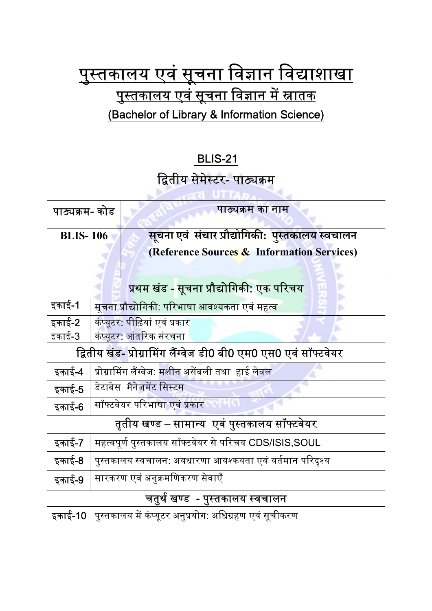## <u>पुस्तकालय एवं सूचना विज्ञान विद्याशाखा</u> <u>पुस्तकालय एवं सूचना विज्ञान में स्नातक</u> (Bachelor of Library & Information Science)

## BLIS-21

## द्वितीय सेमेस्टर- पाठ्यक्रम

| पाठ्यक्रम- कोड                                                   |                                                                 | पाठ्यक्रम का नाम                                        |
|------------------------------------------------------------------|-----------------------------------------------------------------|---------------------------------------------------------|
| <b>BLIS-106</b>                                                  |                                                                 | <u>सूचना एवं संचार प्रौद्योगिकी: पु</u> स्तकालय स्वचालन |
|                                                                  |                                                                 | (Reference Sources & Information Services)              |
| प्रथम खंड - सूचना प्रौद्योगिकी: एक परिचय                         |                                                                 |                                                         |
| इकाई-1                                                           | सूचना प्रौद्योगिकी: परिभाषा आवश्यकता एवं महत्व                  |                                                         |
| <u>इ</u> काई-2                                                   | <mark>कंप्यूटर: पीढ़ियां एवं प्रकार</mark>                      |                                                         |
| इकाई-3                                                           | कंप्यूटर <mark>: आंतरिक संरचना</mark>                           |                                                         |
| द्वितीय खंड- प्रोग्रामिंग लैंग्वेज डी0 बी0 एम0 एस0 एवं सॉफ्टवेयर |                                                                 |                                                         |
| इकाई-4                                                           | प्रोग्रामिंग लैंग्वेज: <mark>मशीन अ</mark> सेंबली तथा  हाई लेवल |                                                         |
| इकाई-5                                                           | डेटाबेस मैनेजमेंट सिस्टम                                        |                                                         |
| इकाई-6                                                           | सॉफ्टवेयर परिभाषा एवं प्रकार                                    |                                                         |
| तृतीय खण्ड – सामान्य  एवं पुस्तकालय सॉफ्टवेयर                    |                                                                 |                                                         |
| इकाई-7                                                           | महत्वपूर्ण पुस्तकालय सॉफ्टवेयर से परिचय CDS/ISIS,SOUL           |                                                         |
| इकाई-8                                                           | पुस्तकालय स्वचालन: अवधारणा आवश्कयता एवं वर्तमान परिदृश्य        |                                                         |
| इकाई-9                                                           | सारकरण एवं अनुक्रमणिकरण सेवाएँ                                  |                                                         |
| चतुर्थ खण्ड - पुस्तकालय स्वचालन                                  |                                                                 |                                                         |
| इकाई-10                                                          | पुस्तकालय में कंप्यूटर अनुप्रयोग: अधिग्रहण एवं सूचीकरण          |                                                         |